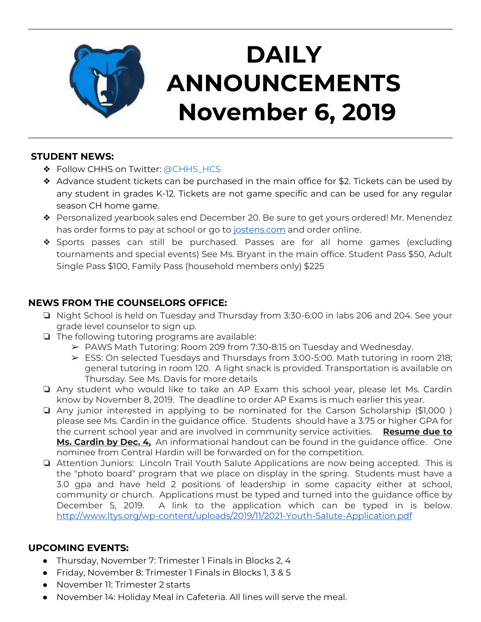

# **DAILY ANNOUNCEMENTS November 6, 2019**

#### **STUDENT NEWS:**

- ❖ Follow CHHS on Twitter: [@CHHS\\_HCS](https://twitter.com/CHHS_HCS)
- ❖ Advance student tickets can be purchased in the main office for \$2. Tickets can be used by any student in grades K-12. Tickets are not game specific and can be used for any regular season CH home game.
- ❖ Personalized yearbook sales end December 20. Be sure to get yours ordered! Mr. Menendez has order forms to pay at school or go to [jostens.com](http://jostens.com/) and order online.
- ❖ Sports passes can still be purchased. Passes are for all home games (excluding tournaments and special events) See Ms. Bryant in the main office. Student Pass \$50, Adult Single Pass \$100, Family Pass (household members only) \$225

## **NEWS FROM THE COUNSELORS OFFICE:**

- ❏ Night School is held on Tuesday and Thursday from 3:30-6:00 in labs 206 and 204. See your grade level counselor to sign up.
- ❏ The following tutoring programs are available:
	- $\triangleright$  PAWS Math Tutoring: Room 209 from 7:30-8:15 on Tuesday and Wednesday.
	- $\triangleright$  ESS: On selected Tuesdays and Thursdays from 3:00-5:00. Math tutoring in room 218; general tutoring in room 120. A light snack is provided. Transportation is available on Thursday. See Ms. Davis for more details
- ❏ Any student who would like to take an AP Exam this school year, please let Ms. Cardin know by November 8, 2019. The deadline to order AP Exams is much earlier this year.
- ❏ Any junior interested in applying to be nominated for the Carson Scholarship (\$1,000 ) please see Ms. Cardin in the guidance office. Students should have a 3.75 or higher GPA for the current school year and are involved in community service activities. **Resume due to Ms. Cardin by Dec. 4,** An informational handout can be found in the guidance office. One nominee from Central Hardin will be forwarded on for the competition.
- ❏ Attention Juniors: Lincoln Trail Youth Salute Applications are now being accepted. This is the "photo board" program that we place on display in the spring. Students must have a 3.0 gpa and have held 2 positions of leadership in some capacity either at school, community or church. Applications must be typed and turned into the guidance office by December 5, 2019. A link to the application which can be typed in is below. <http://www.ltys.org/wp-content/uploads/2019/11/2021-Youth-Salute-Application.pdf>

## **UPCOMING EVENTS:**

- Thursday, November 7: Trimester 1 Finals in Blocks 2, 4
- Friday, November 8: Trimester 1 Finals in Blocks 1, 3 & 5
- November 11: Trimester 2 starts
- November 14: Holiday Meal in Cafeteria. All lines will serve the meal.